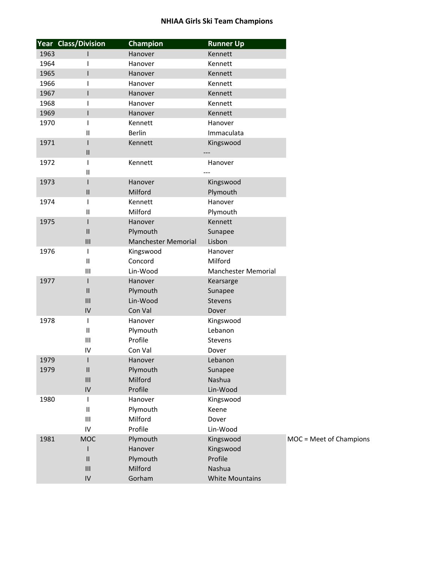|      | Year Class/Division                       | <b>Champion</b>            | <b>Runner Up</b>       |                         |
|------|-------------------------------------------|----------------------------|------------------------|-------------------------|
| 1963 |                                           | Hanover                    | Kennett                |                         |
| 1964 |                                           | Hanover                    | Kennett                |                         |
| 1965 |                                           | Hanover                    | Kennett                |                         |
| 1966 |                                           | Hanover                    | Kennett                |                         |
| 1967 |                                           | Hanover                    | Kennett                |                         |
| 1968 |                                           | Hanover                    | Kennett                |                         |
| 1969 |                                           | Hanover                    | Kennett                |                         |
| 1970 |                                           | Kennett                    | Hanover                |                         |
|      | $\mathbf{I}$                              | <b>Berlin</b>              | Immaculata             |                         |
| 1971 |                                           | Kennett                    | Kingswood              |                         |
|      | Ш                                         |                            |                        |                         |
| 1972 |                                           | Kennett                    | Hanover                |                         |
|      | Ш                                         |                            |                        |                         |
| 1973 |                                           | Hanover                    | Kingswood              |                         |
|      | Ш                                         | Milford                    | Plymouth               |                         |
| 1974 |                                           | Kennett                    | Hanover                |                         |
|      | $\mathbf{I}$                              | Milford                    | Plymouth               |                         |
| 1975 |                                           | Hanover                    | Kennett                |                         |
|      | $\mathbf{II}$                             | Plymouth                   | Sunapee                |                         |
|      | $\begin{array}{c} \text{III} \end{array}$ | <b>Manchester Memorial</b> | Lisbon                 |                         |
| 1976 | T                                         | Kingswood                  | Hanover                |                         |
|      | $\mathbf{I}$                              | Concord                    | Milford                |                         |
|      | $\mathbf{III}$                            | Lin-Wood                   | Manchester Memorial    |                         |
| 1977 |                                           | Hanover                    | Kearsarge              |                         |
|      | $\mathsf{II}$                             | Plymouth                   | Sunapee                |                         |
|      | III                                       | Lin-Wood                   | Stevens                |                         |
|      | IV                                        | Con Val                    | Dover                  |                         |
| 1978 | ı                                         | Hanover                    | Kingswood              |                         |
|      | $\begin{array}{c} \hline \end{array}$     | Plymouth                   | Lebanon                |                         |
|      | Ш                                         | Profile                    | Stevens                |                         |
|      | IV                                        | Con Val                    | Dover                  |                         |
| 1979 | ı                                         | Hanover                    | Lebanon                |                         |
| 1979 | Ш                                         | Plymouth                   | Sunapee                |                         |
|      | Ш                                         | Milford                    | Nashua                 |                         |
|      | ${\sf IV}$                                | Profile                    | Lin-Wood               |                         |
| 1980 | $\mathbf{I}$                              | Hanover                    | Kingswood              |                         |
|      | $\sf II$                                  | Plymouth                   | Keene                  |                         |
|      | Ш                                         | Milford                    | Dover                  |                         |
|      | $\mathsf{IV}$                             | Profile                    | Lin-Wood               |                         |
| 1981 | <b>MOC</b>                                | Plymouth                   | Kingswood              | MOC = Meet of Champions |
|      |                                           | Hanover                    | Kingswood              |                         |
|      | $\sf II$                                  | Plymouth                   | Profile                |                         |
|      | Ш                                         | Milford                    | Nashua                 |                         |
|      | IV                                        | Gorham                     | <b>White Mountains</b> |                         |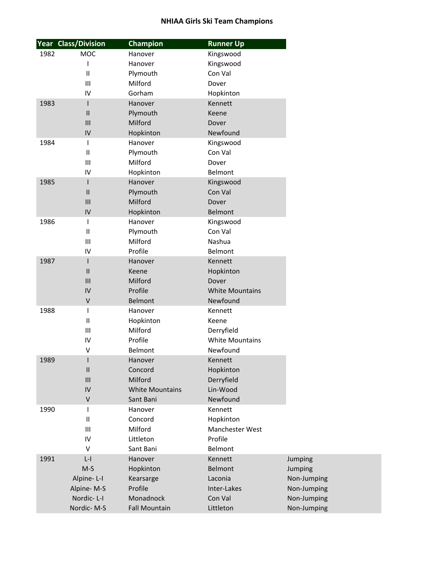|      | <b>Year Class/Division</b> | <b>Champion</b>        | <b>Runner Up</b>       |  |
|------|----------------------------|------------------------|------------------------|--|
| 1982 | MOC                        | Hanover                | Kingswood              |  |
|      | I                          | Hanover                | Kingswood              |  |
|      | $\mathbf{I}$               | Plymouth               | Con Val                |  |
|      | III                        | Milford                | Dover                  |  |
|      | IV                         | Gorham                 | Hopkinton              |  |
| 1983 | L                          | Hanover                | Kennett                |  |
|      | $\mathbf{I}$               | Plymouth               | Keene                  |  |
|      | III                        | Milford                | Dover                  |  |
|      | IV                         | Hopkinton              | Newfound               |  |
| 1984 | I                          | Hanover                | Kingswood              |  |
|      | $\mathbf{I}$               | Plymouth               | Con Val                |  |
|      | $\mathbf{III}$             | Milford                | Dover                  |  |
|      | IV                         | Hopkinton              | Belmont                |  |
| 1985 | I                          | Hanover                | Kingswood              |  |
|      | $\mathbf{II}$              | Plymouth               | Con Val                |  |
|      | III                        | Milford                | Dover                  |  |
|      | IV                         | Hopkinton              | <b>Belmont</b>         |  |
| 1986 | T                          | Hanover                | Kingswood              |  |
|      | $\mathbf{I}$               | Plymouth               | Con Val                |  |
|      | Ш                          | Milford                | Nashua                 |  |
|      | IV                         | Profile                | Belmont                |  |
| 1987 | I                          | Hanover                | Kennett                |  |
|      | $\mathbf{I}$               | Keene                  | Hopkinton              |  |
|      | $\mathsf{III}$             | Milford                | Dover                  |  |
|      | IV                         | Profile                | <b>White Mountains</b> |  |
|      | V                          | <b>Belmont</b>         | Newfound               |  |
| 1988 | T                          | Hanover                | Kennett                |  |
|      | $\mathbf{I}$               | Hopkinton              | Keene                  |  |
|      | III                        | Milford                | Derryfield             |  |
|      | IV                         | Profile                | <b>White Mountains</b> |  |
|      | V                          | Belmont                | Newfound               |  |
| 1989 | L                          | Hanover                | Kennett                |  |
|      | $\mathsf{II}$              | Concord                | Hopkinton              |  |
|      | III                        | Milford                | Derryfield             |  |
|      | IV                         | <b>White Mountains</b> | Lin-Wood               |  |
|      | V                          | Sant Bani              | Newfound               |  |
| 1990 | T                          | Hanover                | Kennett                |  |
|      | $\mathbf{I}$               | Concord                | Hopkinton              |  |
|      | Ш                          | Milford                | Manchester West        |  |
|      | IV                         | Littleton              | Profile                |  |
|      | $\vee$                     | Sant Bani              | Belmont                |  |
| 1991 | $L - I$                    | Hanover                | Kennett                |  |
|      | $M-S$                      | Hopkinton              | <b>Belmont</b>         |  |
|      | Alpine-L-I                 | Kearsarge              | Laconia                |  |
|      | Alpine-M-S                 | Profile                | Inter-Lakes            |  |
|      | Nordic-L-I                 | Monadnock              | Con Val                |  |
|      | Nordic-M-S                 | <b>Fall Mountain</b>   | Littleton              |  |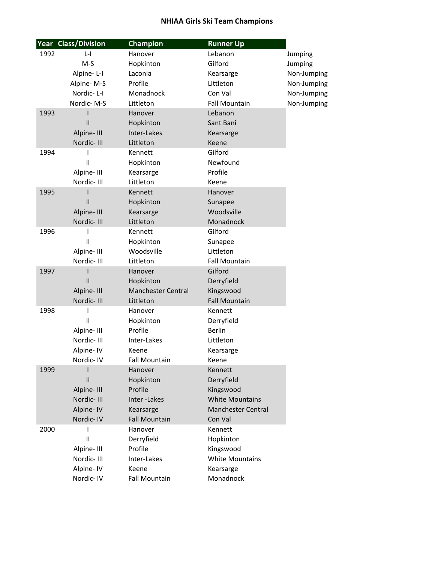|      | <b>Year Class/Division</b> | <b>Champion</b>           | <b>Runner Up</b>          |             |
|------|----------------------------|---------------------------|---------------------------|-------------|
| 1992 | $L - I$                    | Hanover                   | Lebanon                   | Jumping     |
|      | $M-S$                      | Hopkinton                 | Gilford                   | Jumping     |
|      | Alpine-L-I                 | Laconia                   | Kearsarge                 | Non-Jumping |
|      | Alpine-M-S                 | Profile                   | Littleton                 | Non-Jumping |
|      | Nordic-L-I                 | Monadnock                 | Con Val                   | Non-Jumping |
|      | Nordic-M-S                 | Littleton                 | <b>Fall Mountain</b>      | Non-Jumping |
| 1993 |                            | Hanover                   | Lebanon                   |             |
|      | $\mathbf{II}$              | Hopkinton                 | Sant Bani                 |             |
|      | Alpine-III                 | Inter-Lakes               | Kearsarge                 |             |
|      | Nordic-III                 | Littleton                 | Keene                     |             |
| 1994 | L                          | Kennett                   | Gilford                   |             |
|      | $\mathbf{I}$               | Hopkinton                 | Newfound                  |             |
|      | Alpine-III                 | Kearsarge                 | Profile                   |             |
|      | Nordic-III                 | Littleton                 | Keene                     |             |
| 1995 | ı                          | Kennett                   | Hanover                   |             |
|      | $\mathbf{I}$               | Hopkinton                 | Sunapee                   |             |
|      | Alpine-III                 | Kearsarge                 | Woodsville                |             |
|      | Nordic-III                 | Littleton                 | Monadnock                 |             |
| 1996 |                            | Kennett                   | Gilford                   |             |
|      | $\mathbf{I}$               | Hopkinton                 | Sunapee                   |             |
|      | Alpine-III                 | Woodsville                | Littleton                 |             |
|      | Nordic-III                 | Littleton                 | <b>Fall Mountain</b>      |             |
| 1997 |                            | Hanover                   | Gilford                   |             |
|      | $\mathbf{I}$               | Hopkinton                 | Derryfield                |             |
|      | Alpine-III                 | <b>Manchester Central</b> | Kingswood                 |             |
|      | Nordic-III                 | Littleton                 | <b>Fall Mountain</b>      |             |
| 1998 | ı                          | Hanover                   | Kennett                   |             |
|      | $\mathbf{I}$               | Hopkinton                 | Derryfield                |             |
|      | Alpine-III                 | Profile                   | <b>Berlin</b>             |             |
|      | Nordic-III                 | Inter-Lakes               | Littleton                 |             |
|      | Alpine- IV                 | Keene                     | Kearsarge                 |             |
|      | Nordic-IV                  | <b>Fall Mountain</b>      | Keene                     |             |
| 1999 |                            | Hanover                   | Kennett                   |             |
|      | $\mathsf{I}$               | Hopkinton                 | Derryfield                |             |
|      | Alpine-III                 | Profile                   | Kingswood                 |             |
|      | Nordic-III                 | Inter-Lakes               | <b>White Mountains</b>    |             |
|      | Alpine-IV                  | Kearsarge                 | <b>Manchester Central</b> |             |
|      | Nordic-IV                  | <b>Fall Mountain</b>      | Con Val                   |             |
| 2000 |                            | Hanover                   | Kennett                   |             |
|      | $\mathbf{I}$               | Derryfield                | Hopkinton                 |             |
|      | Alpine-III                 | Profile                   | Kingswood                 |             |
|      | Nordic-III                 | Inter-Lakes               | <b>White Mountains</b>    |             |
|      | Alpine-IV                  | Keene                     | Kearsarge                 |             |
|      | Nordic-IV                  | <b>Fall Mountain</b>      | Monadnock                 |             |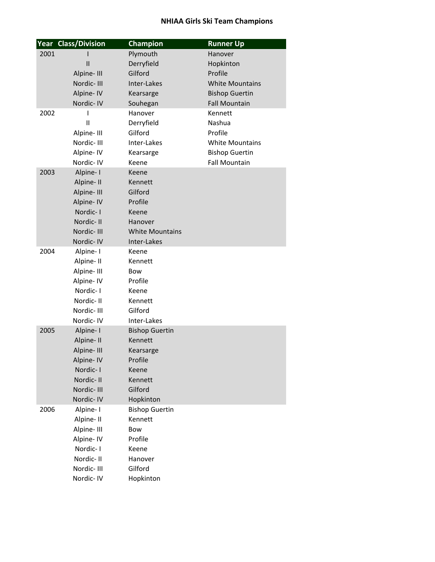|      | <b>Year Class/Division</b> | <b>Champion</b>                  | <b>Runner Up</b>       |
|------|----------------------------|----------------------------------|------------------------|
| 2001 |                            | Plymouth                         | Hanover                |
|      | $\mathbf{I}$               | Derryfield                       | Hopkinton              |
|      | Alpine-III                 | Gilford                          | Profile                |
|      | Nordic-III                 | Inter-Lakes                      | <b>White Mountains</b> |
|      | Alpine- IV                 | Kearsarge                        | <b>Bishop Guertin</b>  |
|      | Nordic-IV                  | Souhegan                         | <b>Fall Mountain</b>   |
| 2002 | ı                          | Hanover                          | Kennett                |
|      | $\mathbf{I}$               | Derryfield                       | Nashua                 |
|      | Alpine-III                 | Gilford                          | Profile                |
|      | Nordic-III                 | Inter-Lakes                      | <b>White Mountains</b> |
|      | Alpine- IV                 | Kearsarge                        | <b>Bishop Guertin</b>  |
|      | Nordic-IV                  | Keene                            | <b>Fall Mountain</b>   |
| 2003 | Alpine-I                   | Keene                            |                        |
|      | Alpine-II                  | Kennett                          |                        |
|      | Alpine-III                 | Gilford                          |                        |
|      | Alpine- IV                 | Profile                          |                        |
|      | Nordic-I                   | Keene                            |                        |
|      | Nordic-II                  | Hanover                          |                        |
|      | Nordic-III                 | <b>White Mountains</b>           |                        |
|      | Nordic-IV                  | Inter-Lakes                      |                        |
| 2004 | Alpine-I                   | Keene                            |                        |
|      | Alpine-II                  | Kennett                          |                        |
|      | Alpine-III                 | <b>Bow</b>                       |                        |
|      | Alpine-IV                  | Profile                          |                        |
|      | Nordic-1                   | Keene                            |                        |
|      | Nordic-II                  | Kennett                          |                        |
|      | Nordic-III                 | Gilford                          |                        |
|      | Nordic-IV                  | Inter-Lakes                      |                        |
| 2005 | Alpine-I                   | <b>Bishop Guertin</b>            |                        |
|      | Alpine- II                 | Kennett                          |                        |
|      | Alpine-III                 | Kearsarge                        |                        |
|      | Alpine- IV                 | Profile                          |                        |
|      | Nordic-I                   | Keene                            |                        |
|      | Nordic-II                  | Kennett                          |                        |
|      | Nordic-III                 | Gilford                          |                        |
|      | Nordic-IV                  | Hopkinton                        |                        |
| 2006 | Alpine-I                   | <b>Bishop Guertin</b><br>Kennett |                        |
|      | Alpine-II<br>Alpine-III    | Bow                              |                        |
|      | Alpine- IV                 | Profile                          |                        |
|      | Nordic-I                   | Keene                            |                        |
|      | Nordic-II                  | Hanover                          |                        |
|      | Nordic-III                 | Gilford                          |                        |
|      |                            |                                  |                        |
|      | Nordic-IV                  | Hopkinton                        |                        |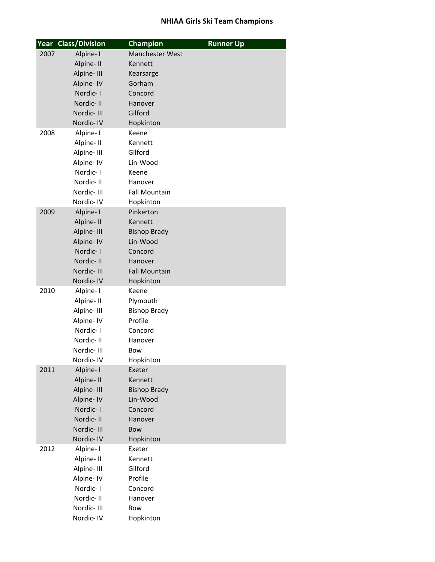|      | <b>Year Class/Division</b> | <b>Champion</b>        | <b>Runner Up</b> |
|------|----------------------------|------------------------|------------------|
| 2007 | Alpine-I                   | <b>Manchester West</b> |                  |
|      | Alpine-II                  | Kennett                |                  |
|      | Alpine-III                 | Kearsarge              |                  |
|      | Alpine- IV                 | Gorham                 |                  |
|      | Nordic-I                   | Concord                |                  |
|      | Nordic-II                  | Hanover                |                  |
|      | Nordic-III                 | Gilford                |                  |
|      | Nordic-IV                  | Hopkinton              |                  |
| 2008 | Alpine-I                   | Keene                  |                  |
|      | Alpine-II                  | Kennett                |                  |
|      | Alpine-III                 | Gilford                |                  |
|      | Alpine-IV                  | Lin-Wood               |                  |
|      | Nordic-1                   | Keene                  |                  |
|      | Nordic-II                  | Hanover                |                  |
|      | Nordic-III                 | <b>Fall Mountain</b>   |                  |
|      | Nordic-IV                  | Hopkinton              |                  |
| 2009 | Alpine-I                   | Pinkerton              |                  |
|      | Alpine-II                  | Kennett                |                  |
|      | Alpine-III                 | <b>Bishop Brady</b>    |                  |
|      | Alpine-IV                  | Lin-Wood               |                  |
|      | Nordic-I                   | Concord                |                  |
|      | Nordic-II                  | Hanover                |                  |
|      | Nordic-III                 | <b>Fall Mountain</b>   |                  |
|      | Nordic-IV                  | Hopkinton              |                  |
| 2010 | Alpine-I                   | Keene                  |                  |
|      | Alpine-II                  | Plymouth               |                  |
|      | Alpine-III                 | <b>Bishop Brady</b>    |                  |
|      | Alpine-IV                  | Profile                |                  |
|      | Nordic-I                   | Concord                |                  |
|      | Nordic-II                  | Hanover                |                  |
|      | Nordic-III                 | Bow                    |                  |
|      | Nordic-IV                  | Hopkinton              |                  |
| 2011 | Alpine-I                   | Exeter                 |                  |
|      | Alpine-II                  | Kennett                |                  |
|      | Alpine-III                 | <b>Bishop Brady</b>    |                  |
|      | Alpine-IV                  | Lin-Wood               |                  |
|      | Nordic-I<br>Nordic-II      | Concord<br>Hanover     |                  |
|      | Nordic-III                 |                        |                  |
|      | Nordic-IV                  | Bow                    |                  |
| 2012 | Alpine-I                   | Hopkinton<br>Exeter    |                  |
|      | Alpine-II                  | Kennett                |                  |
|      | Alpine-III                 | Gilford                |                  |
|      | Alpine-IV                  | Profile                |                  |
|      | Nordic-I                   | Concord                |                  |
|      | Nordic-II                  | Hanover                |                  |
|      | Nordic-III                 | Bow                    |                  |
|      | Nordic-IV                  | Hopkinton              |                  |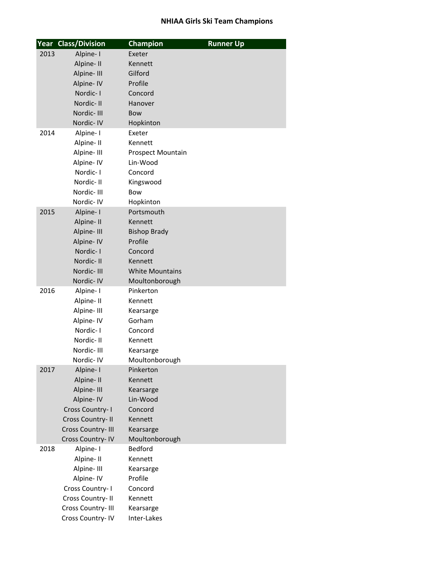|      | <b>Year Class/Division</b>           | <b>Champion</b>        | <b>Runner Up</b> |
|------|--------------------------------------|------------------------|------------------|
| 2013 | Alpine-I                             | Exeter                 |                  |
|      | Alpine-II                            | Kennett                |                  |
|      | Alpine-III                           | Gilford                |                  |
|      | Alpine- IV                           | Profile                |                  |
|      | Nordic-I                             | Concord                |                  |
|      | Nordic-II                            | Hanover                |                  |
|      | Nordic-III                           | Bow                    |                  |
|      | Nordic-IV                            | Hopkinton              |                  |
| 2014 | Alpine-I                             | Exeter                 |                  |
|      | Alpine-II                            | Kennett                |                  |
|      | Alpine-III                           | Prospect Mountain      |                  |
|      | Alpine- IV                           | Lin-Wood               |                  |
|      | Nordic-I                             | Concord                |                  |
|      | Nordic-II                            | Kingswood              |                  |
|      | Nordic-III                           | <b>Bow</b>             |                  |
|      | Nordic-IV                            | Hopkinton              |                  |
| 2015 | Alpine-I                             | Portsmouth             |                  |
|      | Alpine-II                            | Kennett                |                  |
|      | Alpine-III                           | <b>Bishop Brady</b>    |                  |
|      | Alpine-IV                            | Profile                |                  |
|      | Nordic-I                             | Concord                |                  |
|      | Nordic-II                            | Kennett                |                  |
|      | Nordic-III                           | <b>White Mountains</b> |                  |
|      | Nordic-IV                            | Moultonborough         |                  |
| 2016 | Alpine-I                             | Pinkerton              |                  |
|      | Alpine-II                            | Kennett                |                  |
|      | Alpine-III                           | Kearsarge              |                  |
|      | Alpine-IV                            | Gorham                 |                  |
|      | Nordic-I                             | Concord                |                  |
|      | Nordic-II                            | Kennett                |                  |
|      | Nordic-III                           | Kearsarge              |                  |
|      | Nordic-IV                            | Moultonborough         |                  |
| 2017 | Alpine-I                             | Pinkerton              |                  |
|      | Alpine-II                            | Kennett                |                  |
|      | Alpine-III                           | Kearsarge              |                  |
|      | Alpine- IV                           | Lin-Wood               |                  |
|      | Cross Country- I<br>Cross Country-II | Concord<br>Kennett     |                  |
|      | Cross Country-III                    | Kearsarge              |                  |
|      | Cross Country-IV                     | Moultonborough         |                  |
| 2018 | Alpine-I                             | <b>Bedford</b>         |                  |
|      | Alpine-II                            | Kennett                |                  |
|      | Alpine-III                           | Kearsarge              |                  |
|      | Alpine-IV                            | Profile                |                  |
|      | Cross Country-1                      | Concord                |                  |
|      | Cross Country-II                     | Kennett                |                  |
|      | Cross Country-III                    | Kearsarge              |                  |
|      | Cross Country-IV                     | Inter-Lakes            |                  |